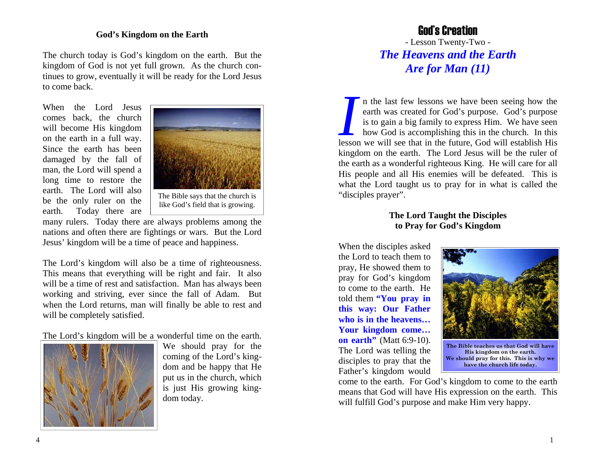## **God's Kingdom on the Earth**

The church today is God's kingdom on the earth. But the kingdom of God is not yet full grown. As the church continues to grow, eventually it will be ready for the Lord Jesus to come back.

When the Lord Jesus comes back, the church will become His kingdom on the earth in a full way. Since the earth has been damaged by the fall of man, the Lord will spend a long time to restore the earth. The Lord will also be the only ruler on the earth. Today there are



many rulers. Today there are always problems among the nations and often there are fightings or wars. But the Lord Jesus' kingdom will be a time of peace and happiness.

The Lord's kingdom will also be a time of righteousness. This means that everything will be right and fair. It also will be a time of rest and satisfaction. Man has always been working and striving, ever since the fall of Adam. But when the Lord returns, man will finally be able to rest and will be completely satisfied.

The Lord's kingdom will be a wonderful time on the earth.



We should pray for the coming of the Lord's kingdom and be happy that He put us in the church, which is just His growing kingdom today.

## God's Creation

- Lesson Twenty-Two - *The Heavens and the Earth Are for Man (11)* 

*I* n the last few lessons we have been seeing how the earth was created for God's purpose. God's purpose is to gain a big family to express Him. We have seen how God is accomplishing this in the church. In this lesson we will see that in the future, God will establish His kingdom on the earth. The Lord Jesus will be the ruler of the earth as a wonderful righteous King. He will care for all His people and all His enemies will be defeated. This is what the Lord taught us to pray for in what is called the "disciples prayer".

## **The Lord Taught the Disciples to Pray for God's Kingdom**

When the disciples asked the Lord to teach them to pray, He showed them to pray for God's kingdom to come to the earth. He told them **"You pray in this way: Our Father who is in the heavens… Your kingdom come… on earth''** (Matt 6:9-10). The Lord was telling the disciples to pray that the Father's kingdom would



**The Bible teaches us that God will have His kingdom on the earth. We should pray for this. This is why we have the church life today.** 

come to the earth. For God's kingdom to come to the earth means that God will have His expression on the earth. This will fulfill God's purpose and make Him very happy.